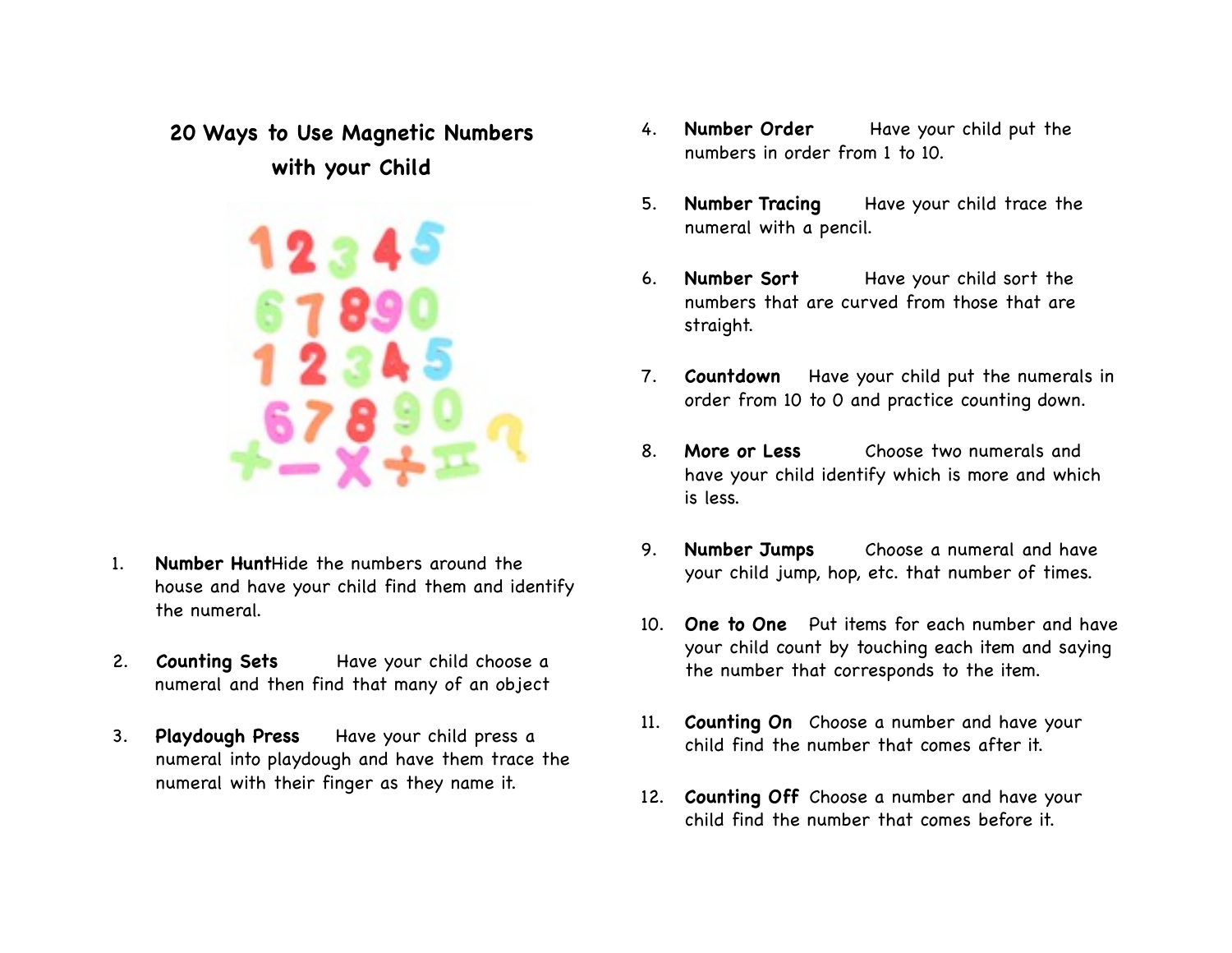# **20 Ways to Use Magnetic Numbers with your Child**



- 1. **Number Hunt**Hide the numbers around the house and have your child find them and identify the numeral.
- 2. **Counting Sets** Have your child choose a numeral and then find that many of an object
- 3. **Playdough Press** Have your child press a numeral into playdough and have them trace the numeral with their finger as they name it.
- 4. **Number Order** Have your child put the numbers in order from 1 to 10.
- 5. **Number Tracing** Have your child trace the numeral with a pencil.
- 6. **Number Sort**!! Have your child sort the numbers that are curved from those that are straight.
- 7. **Countdown** Have your child put the numerals in order from 10 to 0 and practice counting down.
- 8. **More or Less** Choose two numerals and have your child identify which is more and which is less.
- 9. **Number Jumps** Choose a numeral and have your child jump, hop, etc. that number of times.
- 10. **One to One** Put items for each number and have your child count by touching each item and saying the number that corresponds to the item.
- 11. **Counting On** Choose a number and have your child find the number that comes after it.
- 12. **Counting Off** Choose a number and have your child find the number that comes before it.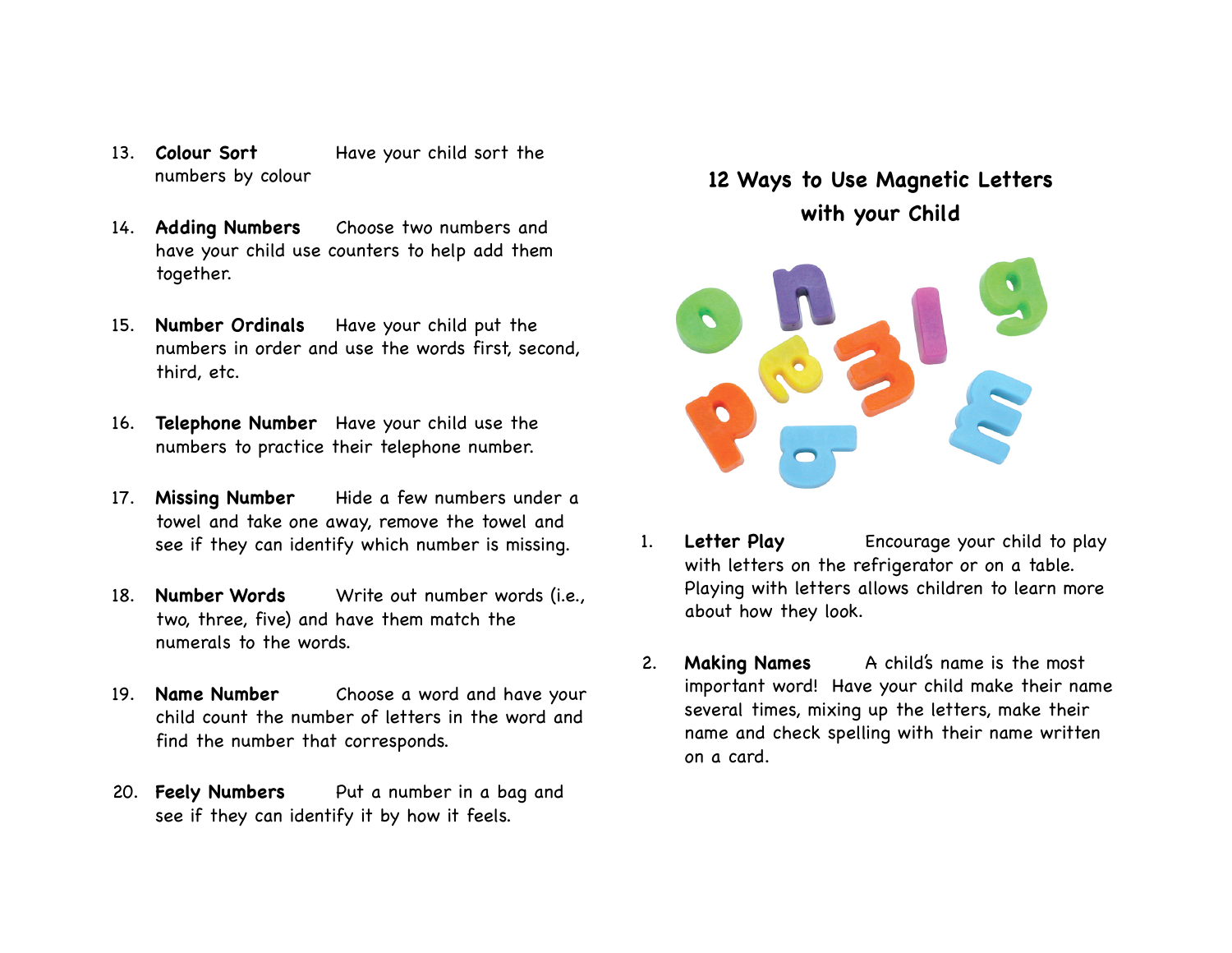- 13. **Colour Sort Have your child sort the** numbers by colour
- 14. **Adding Numbers** Choose two numbers and have your child use counters to help add them together.
- 15. **Number Ordinals** Have your child put the numbers in order and use the words first, second, third, etc.
- 16. **Telephone Number** Have your child use the numbers to practice their telephone number.
- 17. **Missing Number** Hide a few numbers under a towel and take one away, remove the towel and see if they can identify which number is missing.
- 18. **Number Words** Write out number words (i.e., two, three, five) and have them match the numerals to the words.
- 19. **Name Number** Choose a word and have your child count the number of letters in the word and find the number that corresponds.
- 20. **Feely Numbers** Put a number in a bag and see if they can identify it by how it feels.

# **12 Ways to Use Magnetic Letters with your Child**



- 1. **Letter Play** Encourage your child to play with letters on the refrigerator or on a table. Playing with letters allows children to learn more about how they look.
- 2. **Making Names** A child's name is the most important word! Have your child make their name several times, mixing up the letters, make their name and check spelling with their name written on a card.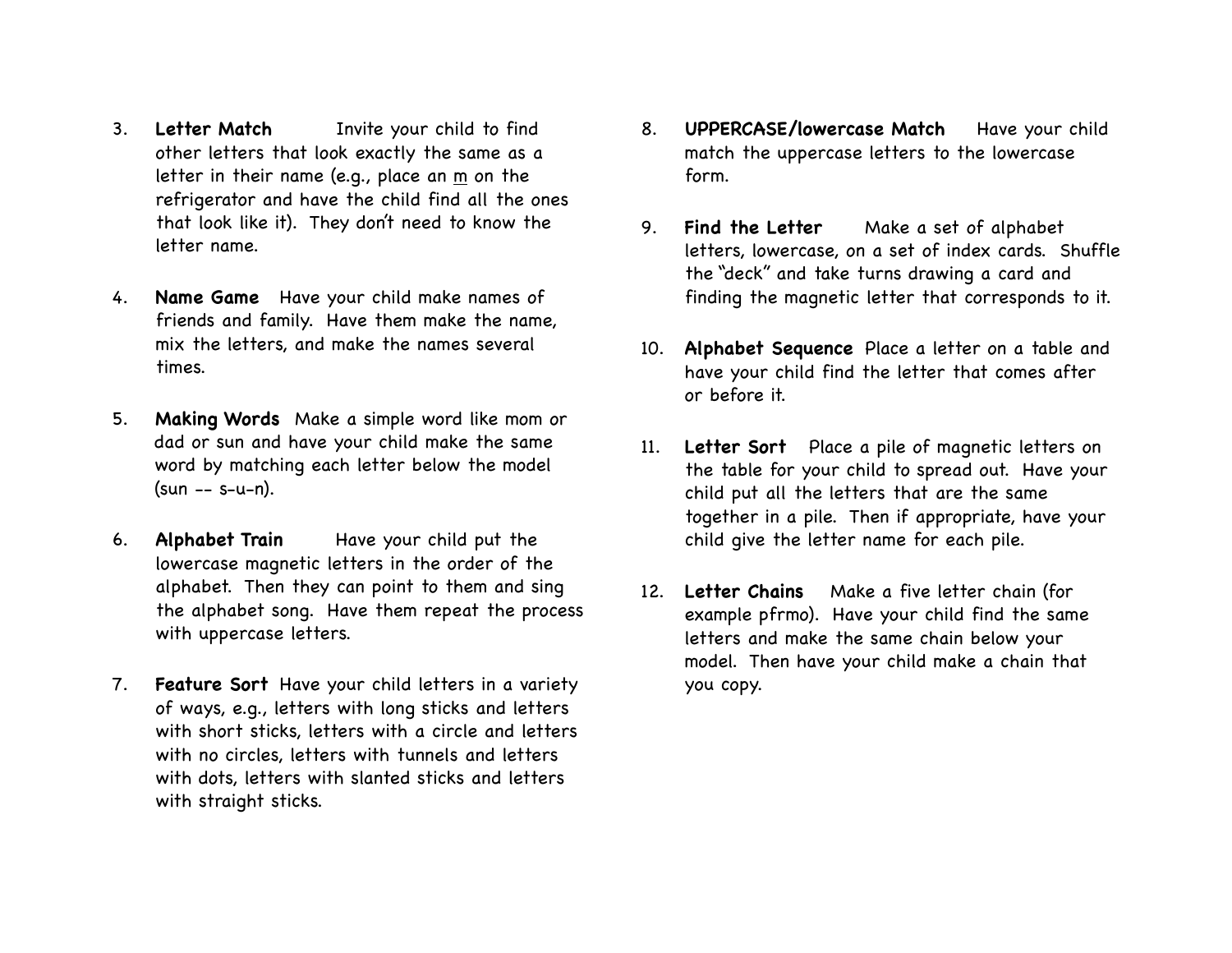- 3. **Letter Match**!! Invite your child to find other letters that look exactly the same as a letter in their name (e.g., place an  $m$  on the refrigerator and have the child find all the ones that look like it). They don't need to know the letter name.
- 4. **Name Game** Have your child make names of friends and family. Have them make the name, mix the letters, and make the names several times.
- 5. **Making Words** Make a simple word like mom or dad or sun and have your child make the same word by matching each letter below the model (sun -- s-u-n).
- 6. **Alphabet Train** Have your child put the lowercase magnetic letters in the order of the alphabet. Then they can point to them and sing the alphabet song. Have them repeat the process with uppercase letters.
- 7. **Feature Sort** Have your child letters in a variety of ways, e.g., letters with long sticks and letters with short sticks, letters with a circle and letters with no circles, letters with tunnels and letters with dots, letters with slanted sticks and letters with straight sticks.
- 8. **UPPERCASE/lowercase Match** Have your child match the uppercase letters to the lowercase form.
- 9. **Find the Letter** Make a set of alphabet letters, lowercase, on a set of index cards. Shuffle the "deck" and take turns drawing a card and finding the magnetic letter that corresponds to it.
- 10. **Alphabet Sequence** Place a letter on a table and have your child find the letter that comes after or before it.
- 11. **Letter Sort** Place a pile of magnetic letters on the table for your child to spread out. Have your child put all the letters that are the same together in a pile. Then if appropriate, have your child give the letter name for each pile.
- 12. **Letter Chains** Make a five letter chain (for example pfrmo). Have your child find the same letters and make the same chain below your model. Then have your child make a chain that you copy.